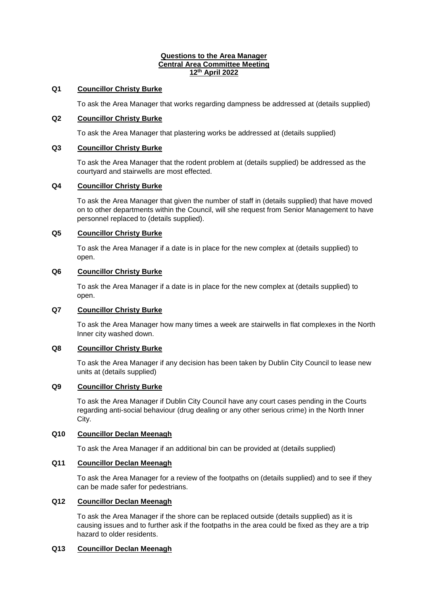#### **Questions to the Area Manager Central Area Committee Meeting 12th April 2022**

## **Q1 Councillor Christy Burke**

To ask the Area Manager that works regarding dampness be addressed at (details supplied)

## **Q2 Councillor Christy Burke**

To ask the Area Manager that plastering works be addressed at (details supplied)

# **Q3 Councillor Christy Burke**

To ask the Area Manager that the rodent problem at (details supplied) be addressed as the courtyard and stairwells are most effected.

# **Q4 Councillor Christy Burke**

To ask the Area Manager that given the number of staff in (details supplied) that have moved on to other departments within the Council, will she request from Senior Management to have personnel replaced to (details supplied).

# **Q5 Councillor Christy Burke**

To ask the Area Manager if a date is in place for the new complex at (details supplied) to open.

# **Q6 Councillor Christy Burke**

To ask the Area Manager if a date is in place for the new complex at (details supplied) to open.

## **Q7 Councillor Christy Burke**

To ask the Area Manager how many times a week are stairwells in flat complexes in the North Inner city washed down.

## **Q8 Councillor Christy Burke**

To ask the Area Manager if any decision has been taken by Dublin City Council to lease new units at (details supplied)

## **Q9 Councillor Christy Burke**

To ask the Area Manager if Dublin City Council have any court cases pending in the Courts regarding anti-social behaviour (drug dealing or any other serious crime) in the North Inner City.

## **Q10 Councillor Declan Meenagh**

To ask the Area Manager if an additional bin can be provided at (details supplied)

# **Q11 Councillor Declan Meenagh**

To ask the Area Manager for a review of the footpaths on (details supplied) and to see if they can be made safer for pedestrians.

# **Q12 Councillor Declan Meenagh**

To ask the Area Manager if the shore can be replaced outside (details supplied) as it is causing issues and to further ask if the footpaths in the area could be fixed as they are a trip hazard to older residents.

## **Q13 Councillor Declan Meenagh**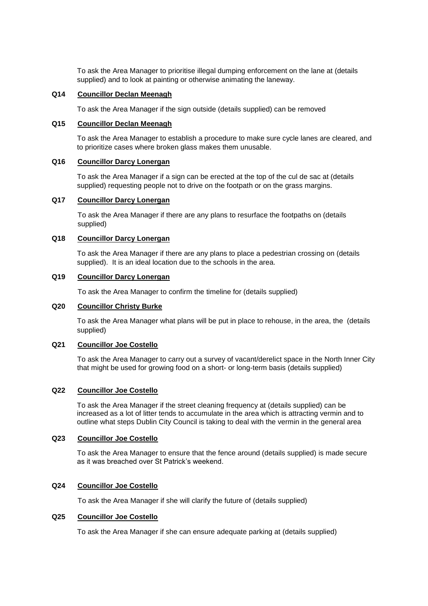To ask the Area Manager to prioritise illegal dumping enforcement on the lane at (details supplied) and to look at painting or otherwise animating the laneway.

# **Q14 Councillor Declan Meenagh**

To ask the Area Manager if the sign outside (details supplied) can be removed

## **Q15 Councillor Declan Meenagh**

To ask the Area Manager to establish a procedure to make sure cycle lanes are cleared, and to prioritize cases where broken glass makes them unusable.

# **Q16 Councillor Darcy Lonergan**

To ask the Area Manager if a sign can be erected at the top of the cul de sac at (details supplied) requesting people not to drive on the footpath or on the grass margins.

## **Q17 Councillor Darcy Lonergan**

To ask the Area Manager if there are any plans to resurface the footpaths on (details supplied)

## **Q18 Councillor Darcy Lonergan**

To ask the Area Manager if there are any plans to place a pedestrian crossing on (details supplied). It is an ideal location due to the schools in the area.

#### **Q19 Councillor Darcy Lonergan**

To ask the Area Manager to confirm the timeline for (details supplied)

## **Q20 Councillor Christy Burke**

To ask the Area Manager what plans will be put in place to rehouse, in the area, the (details supplied)

## **Q21 Councillor Joe Costello**

To ask the Area Manager to carry out a survey of vacant/derelict space in the North Inner City that might be used for growing food on a short- or long-term basis (details supplied)

## **Q22 Councillor Joe Costello**

To ask the Area Manager if the street cleaning frequency at (details supplied) can be increased as a lot of litter tends to accumulate in the area which is attracting vermin and to outline what steps Dublin City Council is taking to deal with the vermin in the general area

# **Q23 Councillor Joe Costello**

To ask the Area Manager to ensure that the fence around (details supplied) is made secure as it was breached over St Patrick's weekend.

#### **Q24 Councillor Joe Costello**

To ask the Area Manager if she will clarify the future of (details supplied)

# **Q25 Councillor Joe Costello**

To ask the Area Manager if she can ensure adequate parking at (details supplied)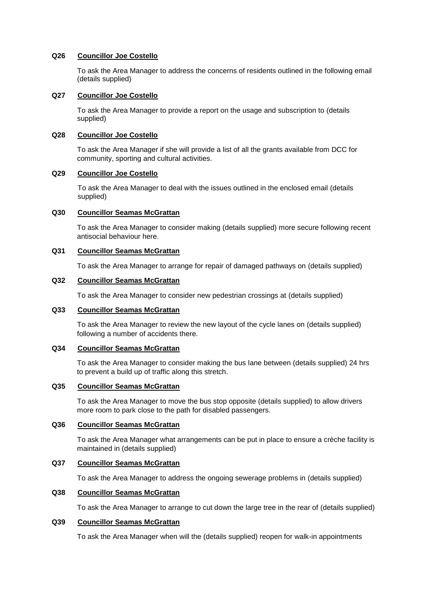## **Q26 Councillor Joe Costello**

To ask the Area Manager to address the concerns of residents outlined in the following email (details supplied)

#### **Q27 Councillor Joe Costello**

To ask the Area Manager to provide a report on the usage and subscription to (details supplied)

## **Q28 Councillor Joe Costello**

To ask the Area Manager if she will provide a list of all the grants available from DCC for community, sporting and cultural activities.

# **Q29 Councillor Joe Costello**

To ask the Area Manager to deal with the issues outlined in the enclosed email (details supplied)

# **Q30 Councillor Seamas McGrattan**

To ask the Area Manager to consider making (details supplied) more secure following recent antisocial behaviour here.

## **Q31 Councillor Seamas McGrattan**

To ask the Area Manager to arrange for repair of damaged pathways on (details supplied)

# **Q32 Councillor Seamas McGrattan**

To ask the Area Manager to consider new pedestrian crossings at (details supplied)

#### **Q33 Councillor Seamas McGrattan**

To ask the Area Manager to review the new layout of the cycle lanes on (details supplied) following a number of accidents there.

### **Q34 Councillor Seamas McGrattan**

To ask the Area Manager to consider making the bus lane between (details supplied) 24 hrs to prevent a build up of traffic along this stretch.

#### **Q35 Councillor Seamas McGrattan**

To ask the Area Manager to move the bus stop opposite (details supplied) to allow drivers more room to park close to the path for disabled passengers.

# **Q36 Councillor Seamas McGrattan**

To ask the Area Manager what arrangements can be put in place to ensure a crèche facility is maintained in (details supplied)

## **Q37 Councillor Seamas McGrattan**

To ask the Area Manager to address the ongoing sewerage problems in (details supplied)

## **Q38 Councillor Seamas McGrattan**

To ask the Area Manager to arrange to cut down the large tree in the rear of (details supplied)

## **Q39 Councillor Seamas McGrattan**

To ask the Area Manager when will the (details supplied) reopen for walk-in appointments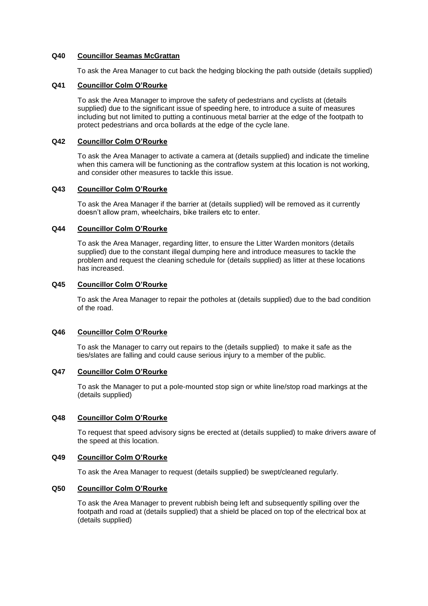### **Q40 Councillor Seamas McGrattan**

To ask the Area Manager to cut back the hedging blocking the path outside (details supplied)

## **Q41 Councillor Colm O'Rourke**

To ask the Area Manager to improve the safety of pedestrians and cyclists at (details supplied) due to the significant issue of speeding here, to introduce a suite of measures including but not limited to putting a continuous metal barrier at the edge of the footpath to protect pedestrians and orca bollards at the edge of the cycle lane.

## **Q42 Councillor Colm O'Rourke**

To ask the Area Manager to activate a camera at (details supplied) and indicate the timeline when this camera will be functioning as the contraflow system at this location is not working, and consider other measures to tackle this issue.

## **Q43 Councillor Colm O'Rourke**

To ask the Area Manager if the barrier at (details supplied) will be removed as it currently doesn't allow pram, wheelchairs, bike trailers etc to enter.

## **Q44 Councillor Colm O'Rourke**

To ask the Area Manager, regarding litter, to ensure the Litter Warden monitors (details supplied) due to the constant illegal dumping here and introduce measures to tackle the problem and request the cleaning schedule for (details supplied) as litter at these locations has increased.

## **Q45 Councillor Colm O'Rourke**

To ask the Area Manager to repair the potholes at (details supplied) due to the bad condition of the road.

## **Q46 Councillor Colm O'Rourke**

To ask the Manager to carry out repairs to the (details supplied) to make it safe as the ties/slates are falling and could cause serious injury to a member of the public.

## **Q47 Councillor Colm O'Rourke**

To ask the Manager to put a pole-mounted stop sign or white line/stop road markings at the (details supplied)

#### **Q48 Councillor Colm O'Rourke**

To request that speed advisory signs be erected at (details supplied) to make drivers aware of the speed at this location.

## **Q49 Councillor Colm O'Rourke**

To ask the Area Manager to request (details supplied) be swept/cleaned regularly.

#### **Q50 Councillor Colm O'Rourke**

To ask the Area Manager to prevent rubbish being left and subsequently spilling over the footpath and road at (details supplied) that a shield be placed on top of the electrical box at (details supplied)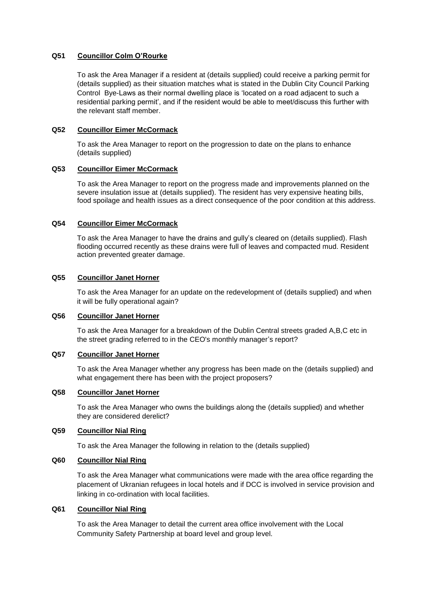# **Q51 Councillor Colm O'Rourke**

To ask the Area Manager if a resident at (details supplied) could receive a parking permit for (details supplied) as their situation matches what is stated in the Dublin City Council Parking Control Bye-Laws as their normal dwelling place is 'located on a road adjacent to such a residential parking permit', and if the resident would be able to meet/discuss this further with the relevant staff member.

### **Q52 Councillor Eimer McCormack**

To ask the Area Manager to report on the progression to date on the plans to enhance (details supplied)

## **Q53 Councillor Eimer McCormack**

To ask the Area Manager to report on the progress made and improvements planned on the severe insulation issue at (details supplied). The resident has very expensive heating bills, food spoilage and health issues as a direct consequence of the poor condition at this address.

## **Q54 Councillor Eimer McCormack**

To ask the Area Manager to have the drains and gully's cleared on (details supplied). Flash flooding occurred recently as these drains were full of leaves and compacted mud. Resident action prevented greater damage.

#### **Q55 Councillor Janet Horner**

To ask the Area Manager for an update on the redevelopment of (details supplied) and when it will be fully operational again?

#### **Q56 Councillor Janet Horner**

To ask the Area Manager for a breakdown of the Dublin Central streets graded A,B,C etc in the street grading referred to in the CEO's monthly manager's report?

## **Q57 Councillor Janet Horner**

To ask the Area Manager whether any progress has been made on the (details supplied) and what engagement there has been with the project proposers?

# **Q58 Councillor Janet Horner**

To ask the Area Manager who owns the buildings along the (details supplied) and whether they are considered derelict?

# **Q59 Councillor Nial Ring**

To ask the Area Manager the following in relation to the (details supplied)

## **Q60 Councillor Nial Ring**

To ask the Area Manager what communications were made with the area office regarding the placement of Ukranian refugees in local hotels and if DCC is involved in service provision and linking in co-ordination with local facilities.

## **Q61 Councillor Nial Ring**

To ask the Area Manager to detail the current area office involvement with the Local Community Safety Partnership at board level and group level.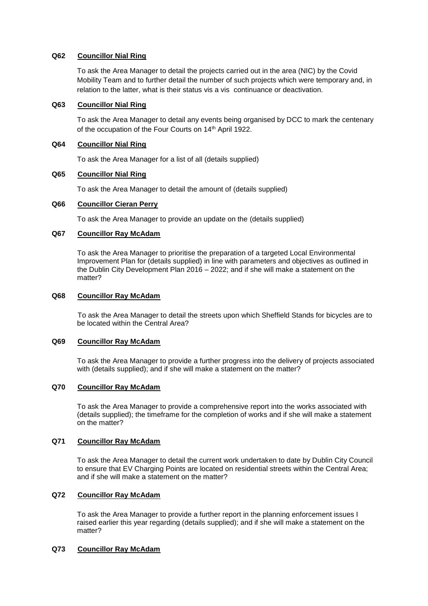# **Q62 Councillor Nial Ring**

To ask the Area Manager to detail the projects carried out in the area (NIC) by the Covid Mobility Team and to further detail the number of such projects which were temporary and, in relation to the latter, what is their status vis a vis continuance or deactivation.

#### **Q63 Councillor Nial Ring**

To ask the Area Manager to detail any events being organised by DCC to mark the centenary of the occupation of the Four Courts on 14<sup>th</sup> April 1922.

## **Q64 Councillor Nial Ring**

To ask the Area Manager for a list of all (details supplied)

## **Q65 Councillor Nial Ring**

To ask the Area Manager to detail the amount of (details supplied)

#### **Q66 Councillor Cieran Perry**

To ask the Area Manager to provide an update on the (details supplied)

## **Q67 Councillor Ray McAdam**

To ask the Area Manager to prioritise the preparation of a targeted Local Environmental Improvement Plan for (details supplied) in line with parameters and objectives as outlined in the Dublin City Development Plan 2016 – 2022; and if she will make a statement on the matter?

### **Q68 Councillor Ray McAdam**

To ask the Area Manager to detail the streets upon which Sheffield Stands for bicycles are to be located within the Central Area?

#### **Q69 Councillor Ray McAdam**

To ask the Area Manager to provide a further progress into the delivery of projects associated with (details supplied); and if she will make a statement on the matter?

## **Q70 Councillor Ray McAdam**

To ask the Area Manager to provide a comprehensive report into the works associated with (details supplied); the timeframe for the completion of works and if she will make a statement on the matter?

## **Q71 Councillor Ray McAdam**

To ask the Area Manager to detail the current work undertaken to date by Dublin City Council to ensure that EV Charging Points are located on residential streets within the Central Area; and if she will make a statement on the matter?

## **Q72 Councillor Ray McAdam**

To ask the Area Manager to provide a further report in the planning enforcement issues I raised earlier this year regarding (details supplied); and if she will make a statement on the matter?

## **Q73 Councillor Ray McAdam**